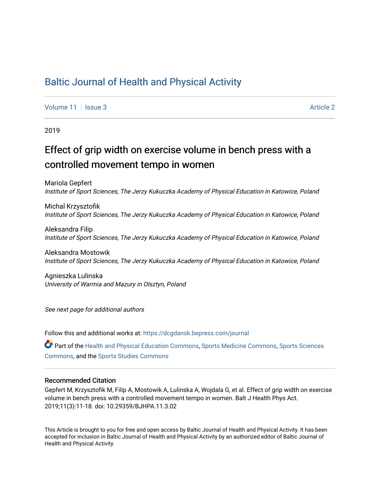## [Baltic Journal of Health and Physical Activity](https://dcgdansk.bepress.com/journal)

[Volume 11](https://dcgdansk.bepress.com/journal/vol11) | [Issue 3](https://dcgdansk.bepress.com/journal/vol11/iss3) [Article 2](https://dcgdansk.bepress.com/journal/vol11/iss3/2) Article 2

2019

# Effect of grip width on exercise volume in bench press with a controlled movement tempo in women

Mariola Gepfert Institute of Sport Sciences, The Jerzy Kukuczka Academy of Physical Education in Katowice, Poland

Michal Krzysztofik Institute of Sport Sciences, The Jerzy Kukuczka Academy of Physical Education in Katowice, Poland

Aleksandra Filip Institute of Sport Sciences, The Jerzy Kukuczka Academy of Physical Education in Katowice, Poland

Aleksandra Mostowik Institute of Sport Sciences, The Jerzy Kukuczka Academy of Physical Education in Katowice, Poland

Agnieszka Lulinska University of Warmia and Mazury in Olsztyn, Poland

See next page for additional authors

Follow this and additional works at: [https://dcgdansk.bepress.com/journal](https://dcgdansk.bepress.com/journal?utm_source=dcgdansk.bepress.com%2Fjournal%2Fvol11%2Fiss3%2F2&utm_medium=PDF&utm_campaign=PDFCoverPages)

Part of the [Health and Physical Education Commons](http://network.bepress.com/hgg/discipline/1327?utm_source=dcgdansk.bepress.com%2Fjournal%2Fvol11%2Fiss3%2F2&utm_medium=PDF&utm_campaign=PDFCoverPages), [Sports Medicine Commons,](http://network.bepress.com/hgg/discipline/1331?utm_source=dcgdansk.bepress.com%2Fjournal%2Fvol11%2Fiss3%2F2&utm_medium=PDF&utm_campaign=PDFCoverPages) [Sports Sciences](http://network.bepress.com/hgg/discipline/759?utm_source=dcgdansk.bepress.com%2Fjournal%2Fvol11%2Fiss3%2F2&utm_medium=PDF&utm_campaign=PDFCoverPages) [Commons](http://network.bepress.com/hgg/discipline/759?utm_source=dcgdansk.bepress.com%2Fjournal%2Fvol11%2Fiss3%2F2&utm_medium=PDF&utm_campaign=PDFCoverPages), and the [Sports Studies Commons](http://network.bepress.com/hgg/discipline/1198?utm_source=dcgdansk.bepress.com%2Fjournal%2Fvol11%2Fiss3%2F2&utm_medium=PDF&utm_campaign=PDFCoverPages) 

#### Recommended Citation

Gepfert M, Krzysztofik M, Filip A, Mostowik A, Lulinska A, Wojdala G, et al. Effect of grip width on exercise volume in bench press with a controlled movement tempo in women. Balt J Health Phys Act. 2019;11(3):11-18. doi: 10.29359/BJHPA.11.3.02

This Article is brought to you for free and open access by Baltic Journal of Health and Physical Activity. It has been accepted for inclusion in Baltic Journal of Health and Physical Activity by an authorized editor of Baltic Journal of Health and Physical Activity.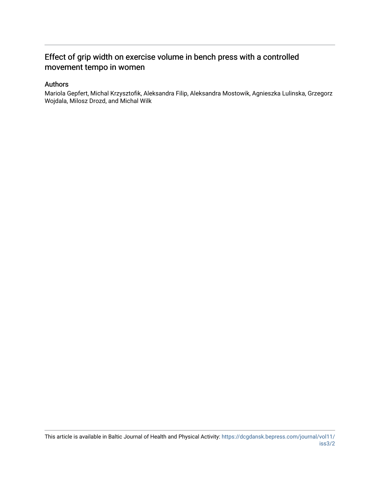### Effect of grip width on exercise volume in bench press with a controlled movement tempo in women

#### Authors

Mariola Gepfert, Michal Krzysztofik, Aleksandra Filip, Aleksandra Mostowik, Agnieszka Lulinska, Grzegorz Wojdala, Milosz Drozd, and Michal Wilk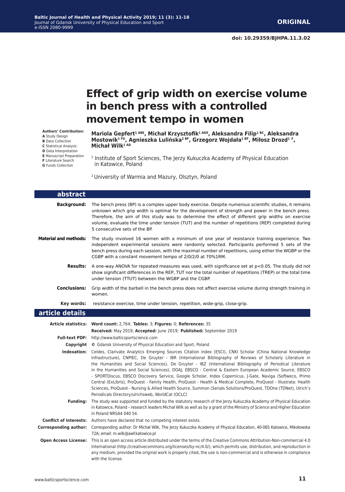## **Effect of grip width on exercise volume in bench press with a controlled movement tempo in women**

**Authors' Contribution: A** Study Design **B** Data Collection **C** Statistical Analysis **D** Data Interpretation **E** Manuscript Preparation

**F** Literature Search

**G** Funds Collection

**Mariola Gepfert1 ABE, Michał Krzysztofik1 ADE, Aleksandra Filip1 BC, Aleksandra Mostowik1 FG, Agnieszka Lulińska2 BF, Grzegorz Wojdała1 BF, Miłosz Drozd<sup>1</sup> <sup>F</sup>, Michał Wilk1 AD**

<sup>1</sup> Institute of Sport Sciences, The Jerzy Kukuczka Academy of Physical Education in Katowice, Poland

2 University of Warmia and Mazury, Olsztyn, Poland

| abstract                     |                                                                                                                                                                                                                                                                                                                                                                                                                                                                                                                                                                                                                                                                                                                                                                                                                                                                           |
|------------------------------|---------------------------------------------------------------------------------------------------------------------------------------------------------------------------------------------------------------------------------------------------------------------------------------------------------------------------------------------------------------------------------------------------------------------------------------------------------------------------------------------------------------------------------------------------------------------------------------------------------------------------------------------------------------------------------------------------------------------------------------------------------------------------------------------------------------------------------------------------------------------------|
| Background:                  | The bench press (BP) is a complex upper body exercise. Despite numerous scientific studies, it remains<br>unknown which grip width is optimal for the development of strength and power in the bench press.<br>Therefore, the aim of this study was to determine the effect of different grip widths on exercise<br>volume, evaluate the time under tension (TUT) and the number of repetitions (REP) completed during<br>5 consecutive sets of the BP.                                                                                                                                                                                                                                                                                                                                                                                                                   |
| <b>Material and methods:</b> | The study involved 16 women with a minimum of one year of resistance training experience. Two<br>independent experimental sessions were randomly selected. Participants performed 5 sets of the<br>bench press during each session, with the maximal number of repetitions, using either the WGBP or the<br>CGBP with a constant movement tempo of 2/0/2/0 at 70%1RM.                                                                                                                                                                                                                                                                                                                                                                                                                                                                                                     |
|                              | <b>Results:</b> A one-way ANOVA for repeated measures was used, with significance set at $p < 0.05$ . The study did not<br>show significant differences in the REP, TUT nor the total number of repetitions (TREP) or the total time<br>under tension (TTUT) between the WGBP and the CGBP.                                                                                                                                                                                                                                                                                                                                                                                                                                                                                                                                                                               |
| <b>Conclusions:</b>          | Grip width of the barbell in the bench press does not affect exercise volume during strength training in<br>women.                                                                                                                                                                                                                                                                                                                                                                                                                                                                                                                                                                                                                                                                                                                                                        |
| Key words:                   | resistance exercise, time under tension, repetition, wide-grip, close-grip.                                                                                                                                                                                                                                                                                                                                                                                                                                                                                                                                                                                                                                                                                                                                                                                               |
| article details              |                                                                                                                                                                                                                                                                                                                                                                                                                                                                                                                                                                                                                                                                                                                                                                                                                                                                           |
|                              | Article statistics: Word count: 2,764; Tables: 3; Figures: 0; References: 35                                                                                                                                                                                                                                                                                                                                                                                                                                                                                                                                                                                                                                                                                                                                                                                              |
|                              | Received: May 2019; Accepted: June 2019; Published: September 2019                                                                                                                                                                                                                                                                                                                                                                                                                                                                                                                                                                                                                                                                                                                                                                                                        |
|                              | Full-text PDF: http://www.balticsportscience.com                                                                                                                                                                                                                                                                                                                                                                                                                                                                                                                                                                                                                                                                                                                                                                                                                          |
|                              | <b>Copyright</b> © Gdansk University of Physical Education and Sport, Poland                                                                                                                                                                                                                                                                                                                                                                                                                                                                                                                                                                                                                                                                                                                                                                                              |
|                              | Indexation: Celdes, Clarivate Analytics Emerging Sources Citation Index (ESCI), CNKI Scholar (China National Knowledge<br>Infrastructure), CNPIEC, De Gruyter - IBR (International Bibliography of Reviews of Scholarly Literature in<br>the Humanities and Social Sciences), De Gruyter - IBZ (International Bibliography of Periodical Literature<br>in the Humanities and Social Sciences), DOAJ, EBSCO - Central & Eastern European Academic Source, EBSCO<br>- SPORTDiscus, EBSCO Discovery Service, Google Scholar, Index Copernicus, J-Gate, Naviga (Softweco, Primo<br>Central (ExLibris), ProQuest - Family Health, ProQuest - Health & Medical Complete, ProQuest - Illustrata: Health<br>Sciences, ProQuest - Nursing & Allied Health Source, Summon (Serials Solutions/ProQuest, TDOne (TDNet), Ulrich's<br>Periodicals Directory/ulrichsweb, WorldCat (OCLC) |
| <b>Funding:</b>              | The study was supported and funded by the statutory research of the Jerzy Kukuczka Academy of Physical Education<br>in Katowice, Poland - research leaders Michał Wilk as well as by a grant of the Ministry of Science and Higher Education<br>in Poland NRSA4 040 54.                                                                                                                                                                                                                                                                                                                                                                                                                                                                                                                                                                                                   |
|                              | <b>Conflict of interests:</b> Authors have declared that no competing interest exists.                                                                                                                                                                                                                                                                                                                                                                                                                                                                                                                                                                                                                                                                                                                                                                                    |
| <b>Corresponding author:</b> | Corresponding author: Dr Michał Wilk, The Jerzy Kukuczka Academy of Physical Education, 40-065 Katowice, Mikołowska<br>72A; email: m.wilk@awf.katowice.pl                                                                                                                                                                                                                                                                                                                                                                                                                                                                                                                                                                                                                                                                                                                 |
|                              | Open Access License: This is an open access article distributed under the terms of the Creative Commons Attribution-Non-commercial 4.0<br>International (http://creativecommons.org/licenses/by-nc/4.0/), which permits use, distribution, and reproduction in<br>any medium, provided the original work is properly cited, the use is non-commercial and is otherwise in compliance<br>with the license.                                                                                                                                                                                                                                                                                                                                                                                                                                                                 |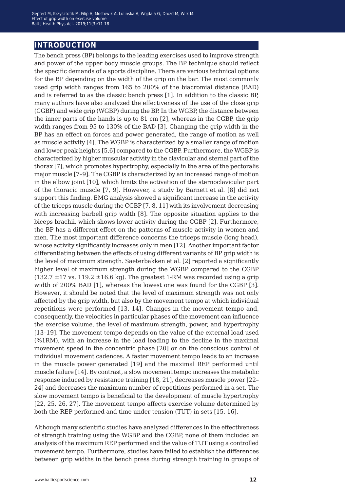### **introduction**

The bench press (BP) belongs to the leading exercises used to improve strength and power of the upper body muscle groups. The BP technique should reflect the specific demands of a sports discipline. There are various technical options for the BP depending on the width of the grip on the bar. The most commonly used grip width ranges from 165 to 200% of the biacromial distance (BAD) and is referred to as the classic bench press [1]. In addition to the classic BP, many authors have also analyzed the effectiveness of the use of the close grip (CGBP) and wide grip (WGBP) during the BP. In the WGBP, the distance between the inner parts of the hands is up to 81 cm [2], whereas in the CGBP, the grip width ranges from 95 to 130% of the BAD [3]. Changing the grip width in the BP has an effect on forces and power generated, the range of motion as well as muscle activity [4]. The WGBP is characterized by a smaller range of motion and lower peak heights [5,6] compared to the CGBP. Furthermore, the WGBP is characterized by higher muscular activity in the clavicular and sternal part of the thorax [7], which promotes hypertrophy, especially in the area of the pectoralis major muscle [7–9]. The CGBP is characterized by an increased range of motion in the elbow joint [10], which limits the activation of the sternoclavicular part of the thoracic muscle [7, 9]. However, a study by Barnett et al. [8] did not support this finding. EMG analysis showed a significant increase in the activity of the triceps muscle during the CGBP [7, 8, 11] with its involvement decreasing with increasing barbell grip width [8]. The opposite situation applies to the biceps brachii, which shows lower activity during the CGBP [2]. Furthermore, the BP has a different effect on the patterns of muscle activity in women and men. The most important difference concerns the triceps muscle (long head), whose activity significantly increases only in men [12]. Another important factor differentiating between the effects of using different variants of BP grip width is the level of maximum strength. Saeterbakken et al. [2] reported a significantly higher level of maximum strength during the WGBP compared to the CGBP  $(132.7 \pm 17 \text{ vs. } 119.2 \pm 16.6 \text{ kg})$ . The greatest 1-RM was recorded using a grip width of 200% BAD [1], whereas the lowest one was found for the CGBP [3]. However, it should be noted that the level of maximum strength was not only affected by the grip width, but also by the movement tempo at which individual repetitions were performed [13, 14]. Changes in the movement tempo and, consequently, the velocities in particular phases of the movement can influence the exercise volume, the level of maximum strength, power, and hypertrophy [13–19]. The movement tempo depends on the value of the external load used (%1RM), with an increase in the load leading to the decline in the maximal movement speed in the concentric phase [20] or on the conscious control of individual movement cadences. A faster movement tempo leads to an increase in the muscle power generated [19] and the maximal REP performed until muscle failure [14]. By contrast, a slow movement tempo increases the metabolic response induced by resistance training [18, 21], decreases muscle power [22– 24] and decreases the maximum number of repetitions performed in a set. The slow movement tempo is beneficial to the development of muscle hypertrophy [22, 25, 26, 27]. The movement tempo affects exercise volume determined by both the REP performed and time under tension (TUT) in sets [15, 16].

Although many scientific studies have analyzed differences in the effectiveness of strength training using the WGBP and the CGBP, none of them included an analysis of the maximum REP performed and the value of TUT using a controlled movement tempo. Furthermore, studies have failed to establish the differences between grip widths in the bench press during strength training in groups of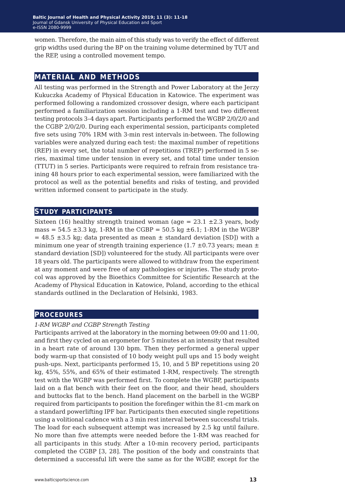women. Therefore, the main aim of this study was to verify the effect of different grip widths used during the BP on the training volume determined by TUT and the REP, using a controlled movement tempo.

#### **material and methods**

All testing was performed in the Strength and Power Laboratory at the Jerzy Kukuczka Academy of Physical Education in Katowice. The experiment was performed following a randomized crossover design, where each participant performed a familiarization session including a 1-RM test and two different testing protocols 3–4 days apart. Participants performed the WGBP 2/0/2/0 and the CGBP 2/0/2/0. During each experimental session, participants completed five sets using 70% 1RM with 3-min rest intervals in-between. The following variables were analyzed during each test: the maximal number of repetitions (REP) in every set, the total number of repetitions (TREP) performed in 5 series, maximal time under tension in every set, and total time under tension (TTUT) in 5 series. Participants were required to refrain from resistance training 48 hours prior to each experimental session, were familiarized with the protocol as well as the potential benefits and risks of testing, and provided written informed consent to participate in the study.

#### **study participants**

Sixteen (16) healthy strength trained woman (age =  $23.1 \pm 2.3$  years, body mass =  $54.5 \pm 3.3$  kg, 1-RM in the CGBP =  $50.5$  kg  $\pm 6.1$ ; 1-RM in the WGBP  $= 48.5 \pm 3.5$  kg; data presented as mean  $\pm$  standard deviation [SD]) with a minimum one year of strength training experience  $(1.7 \pm 0.73 \text{ years})$ ; mean  $\pm$ standard deviation [SD]) volunteered for the study. All participants were over 18 years old. The participants were allowed to withdraw from the experiment at any moment and were free of any pathologies or injuries. The study protocol was approved by the Bioethics Committee for Scientific Research at the Academy of Physical Education in Katowice, Poland, according to the ethical standards outlined in the Declaration of Helsinki, 1983.

#### **procedures**

#### *1-RM WGBP and CGBP Strength Testing*

Participants arrived at the laboratory in the morning between 09:00 and 11:00, and first they cycled on an ergometer for 5 minutes at an intensity that resulted in a heart rate of around 130 bpm. Then they performed a general upper body warm-up that consisted of 10 body weight pull ups and 15 body weight push-ups. Next, participants performed 15, 10, and 5 BP repetitions using 20 kg, 45%, 55%, and 65% of their estimated 1-RM, respectively. The strength test with the WGBP was performed first. To complete the WGBP, participants laid on a flat bench with their feet on the floor, and their head, shoulders and buttocks flat to the bench. Hand placement on the barbell in the WGBP required from participants to position the forefinger within the 81-cm mark on a standard powerlifting IPF bar. Participants then executed single repetitions using a volitional cadence with a 3 min rest interval between successful trials. The load for each subsequent attempt was increased by 2.5 kg until failure. No more than five attempts were needed before the 1-RM was reached for all participants in this study. After a 10-min recovery period, participants completed the CGBP [3, 28]. The position of the body and constraints that determined a successful lift were the same as for the WGBP, except for the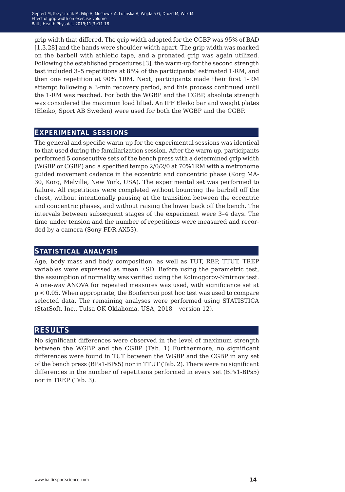grip width that differed. The grip width adopted for the CGBP was 95% of BAD [1,3,28] and the hands were shoulder width apart. The grip width was marked on the barbell with athletic tape, and a pronated grip was again utilized. Following the established procedures [3], the warm-up for the second strength test included 3–5 repetitions at 85% of the participants' estimated 1-RM, and then one repetition at 90% 1RM. Next, participants made their first 1-RM attempt following a 3-min recovery period, and this process continued until the 1-RM was reached. For both the WGBP and the CGBP, absolute strength was considered the maximum load lifted. An IPF Eleiko bar and weight plates (Eleiko, Sport AB Sweden) were used for both the WGBP and the CGBP.

#### **experimental sessions**

The general and specific warm-up for the experimental sessions was identical to that used during the familiarization session. After the warm up, participants performed 5 consecutive sets of the bench press with a determined grip width (WGBP or CGBP) and a specified tempo 2/0/2/0 at 70%1RM with a metronome guided movement cadence in the eccentric and concentric phase (Korg MA-30, Korg, Melville, New York, USA). The experimental set was performed to failure. All repetitions were completed without bouncing the barbell off the chest, without intentionally pausing at the transition between the eccentric and concentric phases, and without raising the lower back off the bench. The intervals between subsequent stages of the experiment were 3–4 days. The time under tension and the number of repetitions were measured and recorded by a camera (Sony FDR-AX53).

#### **statistical analysis**

Age, body mass and body composition, as well as TUT, REP, TTUT, TREP variables were expressed as mean ±SD. Before using the parametric test, the assumption of normality was verified using the Kolmogorov-Smirnov test. A one-way ANOVA for repeated measures was used, with significance set at p < 0.05. When appropriate, the Bonferroni post hoc test was used to compare selected data. The remaining analyses were performed using STATISTICA (StatSoft, Inc., Tulsa OK Oklahoma, USA, 2018 – version 12).

#### **results**

No significant differences were observed in the level of maximum strength between the WGBP and the CGBP (Tab. 1) Furthermore, no significant differences were found in TUT between the WGBP and the CGBP in any set of the bench press (BPs1-BPs5) nor in TTUT (Tab. 2). There were no significant differences in the number of repetitions performed in every set (BPs1-BPs5) nor in TREP (Tab. 3).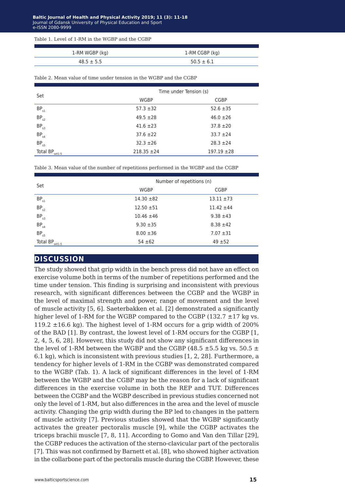| Table 1. Level of 1-RM in the WGBP and the CGBP |
|-------------------------------------------------|
|-------------------------------------------------|

| 1-RM WGBP (kg) | 1-RM CGBP (kg) |
|----------------|----------------|
| $48.5 \pm 5.5$ | $50.5 \pm 6.1$ |

| Table 2. Mean value of time under tension in the WGBP and the CGBP |  |
|--------------------------------------------------------------------|--|
|--------------------------------------------------------------------|--|

| Set                 | Time under Tension (s) |                 |
|---------------------|------------------------|-----------------|
|                     | WGBP                   | <b>CGBP</b>     |
| $BP_{s1}$           | $57.3 \pm 32$          | $52.6 \pm 35$   |
| BP <sub>s2</sub>    | $49.5 \pm 28$          | $46.0 \pm 26$   |
| BP <sub>s3</sub>    | $41.6 \pm 23$          | $37.8 \pm 20$   |
| BP <sub>s4</sub>    | $37.6 \pm 22$          | $33.7 + 24$     |
| $BP_{s5}$           | $32.3 \pm 26$          | $28.3 \pm 24$   |
| Total BP.<br>set1-5 | $218.35 \pm 24$        | $197.19 \pm 28$ |

Table 3. Mean value of the number of repetitions performed in the WGBP and the CGBP

| Set                 | Number of repetitions (n) |                |  |
|---------------------|---------------------------|----------------|--|
|                     | WGBP                      | <b>CGBP</b>    |  |
| $BP_{s1}$           | $14.30 \pm 82$            | $13.11 \pm 73$ |  |
| BP <sub>s2</sub>    | $12.50 \pm 51$            | $11.42 \pm 44$ |  |
| BP <sub>s3</sub>    | $10.46 \pm 46$            | $9.38 \pm 43$  |  |
| BP <sub>s4</sub>    | $9.30 \pm 35$             | $8.38 \pm 42$  |  |
| $BP_{s5}$           | $8.00 \pm 36$             | $7.07 \pm 31$  |  |
| Total $BP_{set1-5}$ | $54 \pm 62$               | $49 + 52$      |  |

#### **discussion**

The study showed that grip width in the bench press did not have an effect on exercise volume both in terms of the number of repetitions performed and the time under tension. This finding is surprising and inconsistent with previous research, with significant differences between the CGBP and the WGBP in the level of maximal strength and power, range of movement and the level of muscle activity [5, 6]. Saeterbakken et al. [2] demonstrated a significantly higher level of 1-RM for the WGBP compared to the CGBP (132.7 ±17 kg vs. 119.2  $\pm$ 16.6 kg). The highest level of 1-RM occurs for a grip width of 200% of the BAD [1]. By contrast, the lowest level of 1-RM occurs for the CGBP [1, 2, 4, 5, 6, 28]. However, this study did not show any significant differences in the level of 1-RM between the WGBP and the CGBP (48.5  $\pm$  5.5 kg vs. 50.5  $\pm$ 6.1 kg), which is inconsistent with previous studies [1, 2, 28]. Furthermore, a tendency for higher levels of 1-RM in the CGBP was demonstrated compared to the WGBP (Tab. 1). A lack of significant differences in the level of 1-RM between the WGBP and the CGBP may be the reason for a lack of significant differences in the exercise volume in both the REP and TUT. Differences between the CGBP and the WGBP described in previous studies concerned not only the level of 1-RM, but also differences in the area and the level of muscle activity. Changing the grip width during the BP led to changes in the pattern of muscle activity [7]. Previous studies showed that the WGBP significantly activates the greater pectoralis muscle [9], while the CGBP activates the triceps brachii muscle [7, 8, 11]. According to Gomo and Van den Tillar [29], the CGBP reduces the activation of the sterno-clavicular part of the pectoralis [7]. This was not confirmed by Barnett et al. [8], who showed higher activation in the collarbone part of the pectoralis muscle during the CGBP. However, these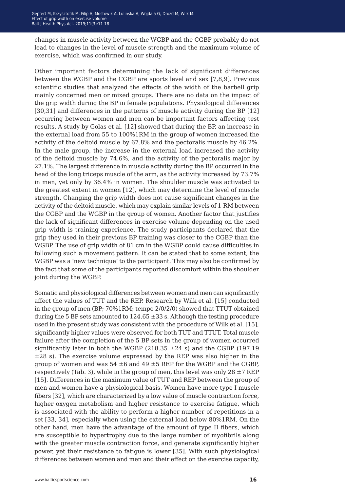changes in muscle activity between the WGBP and the CGBP probably do not lead to changes in the level of muscle strength and the maximum volume of exercise, which was confirmed in our study.

Other important factors determining the lack of significant differences between the WGBP and the CGBP are sports level and sex [7,8,9]. Previous scientific studies that analyzed the effects of the width of the barbell grip mainly concerned men or mixed groups. There are no data on the impact of the grip width during the BP in female populations. Physiological differences [30,31] and differences in the patterns of muscle activity during the BP [12] occurring between women and men can be important factors affecting test results. A study by Golas et al. [12] showed that during the BP, an increase in the external load from 55 to 100%1RM in the group of women increased the activity of the deltoid muscle by 67.8% and the pectoralis muscle by 46.2%. In the male group, the increase in the external load increased the activity of the deltoid muscle by 74.6%, and the activity of the pectoralis major by 27.1%. The largest difference in muscle activity during the BP occurred in the head of the long triceps muscle of the arm, as the activity increased by 73.7% in men, yet only by 36.4% in women. The shoulder muscle was activated to the greatest extent in women [12], which may determine the level of muscle strength. Changing the grip width does not cause significant changes in the activity of the deltoid muscle, which may explain similar levels of 1-RM between the CGBP and the WGBP in the group of women. Another factor that justifies the lack of significant differences in exercise volume depending on the used grip width is training experience. The study participants declared that the grip they used in their previous BP training was closer to the CGBP than the WGBP. The use of grip width of 81 cm in the WGBP could cause difficulties in following such a movement pattern. It can be stated that to some extent, the WGBP was a 'new technique' to the participant. This may also be confirmed by the fact that some of the participants reported discomfort within the shoulder joint during the WGBP.

Somatic and physiological differences between women and men can significantly affect the values of TUT and the REP. Research by Wilk et al. [15] conducted in the group of men (BP; 70%1RM; tempo 2/0/2/0) showed that TTUT obtained during the 5 BP sets amounted to  $124.65 \pm 33$  s. Although the testing procedure used in the present study was consistent with the procedure of Wilk et al. [15], significantly higher values were observed for both TUT and TTUT. Total muscle failure after the completion of the 5 BP sets in the group of women occurred significantly later in both the WGBP (218.35  $\pm$ 24 s) and the CGBP (197.19 ±28 s). The exercise volume expressed by the REP was also higher in the group of women and was  $54 \pm 6$  and  $49 \pm 5$  REP for the WGBP and the CGBP, respectively (Tab. 3), while in the group of men, this level was only  $28 \pm 7$  REP [15]. Differences in the maximum value of TUT and REP between the group of men and women have a physiological basis. Women have more type I muscle fibers [32], which are characterized by a low value of muscle contraction force, higher oxygen metabolism and higher resistance to exercise fatigue, which is associated with the ability to perform a higher number of repetitions in a set [33, 34], especially when using the external load below 80%1RM. On the other hand, men have the advantage of the amount of type II fibers, which are susceptible to hypertrophy due to the large number of myofibrils along with the greater muscle contraction force, and generate significantly higher power, yet their resistance to fatigue is lower [35]. With such physiological differences between women and men and their effect on the exercise capacity,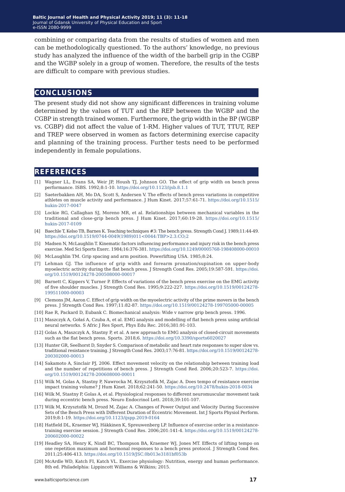combining or comparing data from the results of studies of women and men can be methodologically questioned. To the authors' knowledge, no previous study has analyzed the influence of the width of the barbell grip in the CGBP and the WGBP solely in a group of women. Therefore, the results of the tests are difficult to compare with previous studies.

#### **conclusions**

The present study did not show any significant differences in training volume determined by the values of TUT and the REP between the WGBP and the CGBP in strength trained women. Furthermore, the grip width in the BP (WGBP vs. CGBP) did not affect the value of 1-RM. Higher values of TUT, TTUT, REP and TREP were observed in women as factors determining exercise capacity and planning of the training process. Further tests need to be performed independently in female populations.

#### **references**

- [1] Wagner LL, Evans SA, Weir JP, Housh TJ, Johnson GO. The effect of grip width on bench press performance. ISBS. 1992;8:1-10. <https://doi.org/10.1123/ijsb.8.1.1>
- [2] Saeterbakken AH, Mo DA, Scott S, Andersen V. The effects of bench press variations in competitive athletes on muscle activity and performance. J Hum Kinet. 2017;57:61-71. [https://doi.org/10.1515/](https://doi.org/10.1515/hukin-2017-0047) [hukin-2017-0047](https://doi.org/10.1515/hukin-2017-0047)
- [3] Lockie RG, Callaghan SJ, Moreno MR, et al. Relationships between mechanical variables in the traditional and close-grip bench press. J Hum Kinet. 2017;60:19-28. [https://doi.org/10.1515/](https://doi.org/10.1515/hukin-2017-0109) [hukin-2017-0109](https://doi.org/10.1515/hukin-2017-0109)
- [4] Baechle T, Kelso TB, Barnes K. Teaching techniques #3: The bench press. Strength Cond J. 1989;11:44-49. [https://doi.org/10.1519/0744-0049\(1989\)011<0044:TBP>2.3.CO;2](https://doi.org/10.1519/0744-0049(1989)011<0044:TBP>2.3.CO;2)
- [5] Madsen N, McLaughlin T. Kinematic factors influencing performance and injury risk in the bench press exercise. Med Sci Sports Exerc. 1984;16:376-381. <https://doi.org/10.1249/00005768-198408000-00010>
- [6] McLaughlin TM. Grip spacing and arm position. Powerlifting USA. 1985;8:24.
- [7] Lehman GJ. The influence of grip width and forearm pronation/supination on upper-body myoelectric activity during the flat bench press. J Strength Cond Res. 2005;19:587-591. [https://doi.](https://doi.org/10.1519/00124278-200508000-00017) [org/10.1519/00124278-200508000-00017](https://doi.org/10.1519/00124278-200508000-00017)
- [8] Barnett C, Kippers V, Turner P. Effects of variations of the bench press exercise on the EMG activity of five shoulder muscles. J Strength Cond Res. 1995;9:222-227. [https://doi.org/10.1519/00124278-](https://doi.org/10.1519/00124278-199511000-00003) [199511000-00003](https://doi.org/10.1519/00124278-199511000-00003)
- [9] Clemons JM, Aaron C. Effect of grip width on the myoelectric activity of the prime movers in the bench press. J Strength Cond Res. 1997;11:82-87. <https://doi.org/10.1519/00124278-199705000-00005>
- [10] Rae R, Packard D, Eubank C. Biomechanical analysis: Wide v narrow grip bench press. 1996.
- [11] Maszczyk A, Gołaś A, Czuba A, et al. EMG analysis and modelling of flat bench press using artificial neural networks. S Afric J Res Sport, Phys Edu Rec. 2016;381:91-103.
- [12] Golas A, Maszczyk A, Stastny P, et al. A new approach to EMG analysis of closed-circuit movements such as the flat bench press. Sports. 2018;6. <https://doi.org/10.3390/sports6020027>
- [13] Hunter GR, Seelhorst D, Snyder S. Comparison of metabolic and heart rate responses to super slow vs. traditional resistance training. J Strength Cond Res. 2003;17:76-81. [https://doi.org/10.1519/00124278-](https://doi.org/10.1519/00124278-200302000-00013) [200302000-00013](https://doi.org/10.1519/00124278-200302000-00013)
- [14] Sakamoto A, Sinclair PJ, 2006. Effect movement velocity on the relationship between training load and the number of repetitions of bench press. J Strength Cond Red. 2006;20:523-7. [https://doi.](https://doi.org/10.1519/00124278-200608000-00011) [org/10.1519/00124278-200608000-00011](https://doi.org/10.1519/00124278-200608000-00011)
- [15] Wilk M, Golas A, Stastny P, Nawrocka M, Krzysztofik M, Zajac A. Does tempo of resistance exercise impact training volume? J Hum Kinet. 2018;62:241-50. <https://doi.org/10.2478/hukin-2018-0034>
- [16] Wilk M, Stastny P, Golas A, et al. Physiological responses to different neuromuscular movement task during eccentric bench press. Neuro Endocrinol Lett. 2018;39:101-107.
- [17] Wilk M, Krzysztofik M, Drozd M, Zajac A. Changes of Power Output and Velocity During Successive Sets of the Bench Press with Different Duration of Eccentric Movement. Int J Sports Physiol Perform. 2019;8:1-19. <https://doi.org/10.1123/ijspp.2019-0164>
- [18] Hatfield DL, Kraemer WJ, Häkkinen K, Spreuwenberg LP. Influence of exercise order in a resistancetraining exercise session. J Strength Cond Res. 2006;201:141-4. [https://doi.org/10.1519/00124278-](https://doi.org/10.1519/00124278-200602000-00022) [200602000-00022](https://doi.org/10.1519/00124278-200602000-00022)
- [19] Headley SA, Henry K, Nindl BC, Thompson BA, Kraemer WJ, Jones MT. Effects of lifting tempo on one repetition maximum and hormonal responses to a bench press protocol. J Strength Cond Res. 2011;25:406-413. <https://doi.org/10.1519/JSC.0b013e3181bf053b>
- [20] McArdle WD, Katch FI, Katch VL. Exercise physiology: Nutrition, energy and human performance. 8th ed. Philadelphia: Lippincott Williams & Wilkins; 2015.